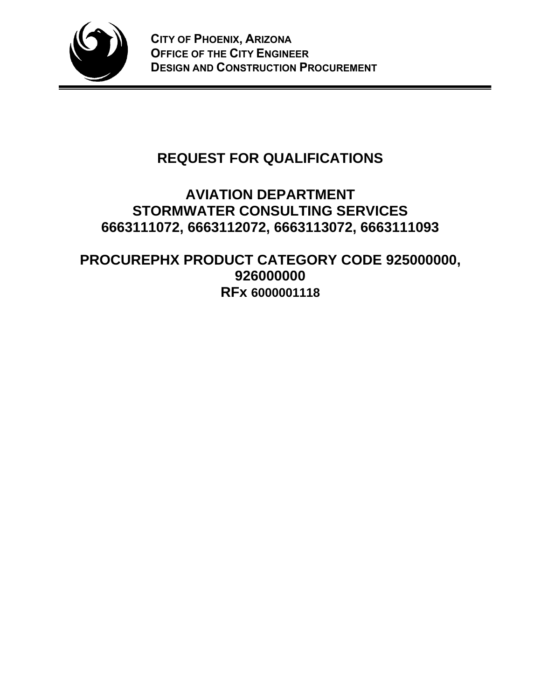

# **REQUEST FOR QUALIFICATIONS**

# **AVIATION DEPARTMENT STORMWATER CONSULTING SERVICES 6663111072, 6663112072, 6663113072, 6663111093**

**PROCUREPHX PRODUCT CATEGORY CODE 925000000, 926000000 RFx 6000001118**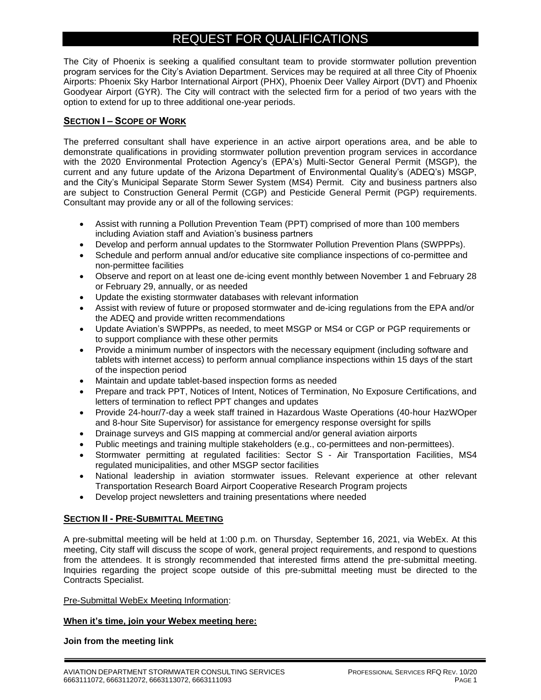# REQUEST FOR QUALIFICATIONS

The City of Phoenix is seeking a qualified consultant team to provide stormwater pollution prevention program services for the City's Aviation Department. Services may be required at all three City of Phoenix Airports: Phoenix Sky Harbor International Airport (PHX), Phoenix Deer Valley Airport (DVT) and Phoenix Goodyear Airport (GYR). The City will contract with the selected firm for a period of two years with the option to extend for up to three additional one-year periods.

# **SECTION I – SCOPE OF WORK**

The preferred consultant shall have experience in an active airport operations area, and be able to demonstrate qualifications in providing stormwater pollution prevention program services in accordance with the 2020 Environmental Protection Agency's (EPA's) Multi-Sector General Permit (MSGP), the current and any future update of the Arizona Department of Environmental Quality's (ADEQ's) MSGP, and the City's Municipal Separate Storm Sewer System (MS4) Permit. City and business partners also are subject to Construction General Permit (CGP) and Pesticide General Permit (PGP) requirements. Consultant may provide any or all of the following services:

- Assist with running a Pollution Prevention Team (PPT) comprised of more than 100 members including Aviation staff and Aviation's business partners
- Develop and perform annual updates to the Stormwater Pollution Prevention Plans (SWPPPs).
- Schedule and perform annual and/or educative site compliance inspections of co-permittee and non-permittee facilities
- Observe and report on at least one de-icing event monthly between November 1 and February 28 or February 29, annually, or as needed
- Update the existing stormwater databases with relevant information
- Assist with review of future or proposed stormwater and de-icing regulations from the EPA and/or the ADEQ and provide written recommendations
- Update Aviation's SWPPPs, as needed, to meet MSGP or MS4 or CGP or PGP requirements or to support compliance with these other permits
- Provide a minimum number of inspectors with the necessary equipment (including software and tablets with internet access) to perform annual compliance inspections within 15 days of the start of the inspection period
- Maintain and update tablet-based inspection forms as needed
- Prepare and track PPT, Notices of Intent, Notices of Termination, No Exposure Certifications, and letters of termination to reflect PPT changes and updates
- Provide 24-hour/7-day a week staff trained in Hazardous Waste Operations (40-hour HazWOper and 8-hour Site Supervisor) for assistance for emergency response oversight for spills
- Drainage surveys and GIS mapping at commercial and/or general aviation airports
- Public meetings and training multiple stakeholders (e.g., co-permittees and non-permittees).
- Stormwater permitting at regulated facilities: Sector S Air Transportation Facilities, MS4 regulated municipalities, and other MSGP sector facilities
- National leadership in aviation stormwater issues. Relevant experience at other relevant Transportation Research Board Airport Cooperative Research Program projects
- Develop project newsletters and training presentations where needed

# **SECTION II - PRE-SUBMITTAL MEETING**

A pre-submittal meeting will be held at 1:00 p.m. on Thursday, September 16, 2021, via WebEx. At this meeting, City staff will discuss the scope of work, general project requirements, and respond to questions from the attendees. It is strongly recommended that interested firms attend the pre-submittal meeting. Inquiries regarding the project scope outside of this pre-submittal meeting must be directed to the Contracts Specialist.

Pre-Submittal WebEx Meeting Information:

## **When it's time, join your Webex meeting here:**

**Join from the meeting link**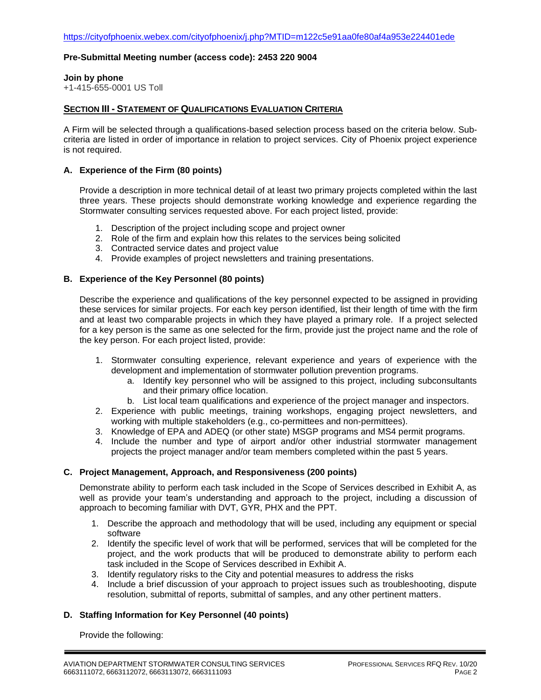#### **Pre-Submittal Meeting number (access code): 2453 220 9004**

#### **Join by phone**

+1-415-655-0001 US Toll

## **SECTION III - STATEMENT OF QUALIFICATIONS EVALUATION CRITERIA**

A Firm will be selected through a qualifications-based selection process based on the criteria below. Subcriteria are listed in order of importance in relation to project services. City of Phoenix project experience is not required.

#### **A. Experience of the Firm (80 points)**

Provide a description in more technical detail of at least two primary projects completed within the last three years. These projects should demonstrate working knowledge and experience regarding the Stormwater consulting services requested above. For each project listed, provide:

- 1. Description of the project including scope and project owner
- 2. Role of the firm and explain how this relates to the services being solicited
- 3. Contracted service dates and project value
- 4. Provide examples of project newsletters and training presentations.

## **B. Experience of the Key Personnel (80 points)**

Describe the experience and qualifications of the key personnel expected to be assigned in providing these services for similar projects. For each key person identified, list their length of time with the firm and at least two comparable projects in which they have played a primary role. If a project selected for a key person is the same as one selected for the firm, provide just the project name and the role of the key person. For each project listed, provide:

- 1. Stormwater consulting experience, relevant experience and years of experience with the development and implementation of stormwater pollution prevention programs.
	- a. Identify key personnel who will be assigned to this project, including subconsultants and their primary office location.
	- b. List local team qualifications and experience of the project manager and inspectors.
- 2. Experience with public meetings, training workshops, engaging project newsletters, and working with multiple stakeholders (e.g., co-permittees and non-permittees).
- 3. Knowledge of EPA and ADEQ (or other state) MSGP programs and MS4 permit programs.
- 4. Include the number and type of airport and/or other industrial stormwater management projects the project manager and/or team members completed within the past 5 years.

#### **C. Project Management, Approach, and Responsiveness (200 points)**

Demonstrate ability to perform each task included in the Scope of Services described in Exhibit A, as well as provide your team's understanding and approach to the project, including a discussion of approach to becoming familiar with DVT, GYR, PHX and the PPT.

- 1. Describe the approach and methodology that will be used, including any equipment or special software
- 2. Identify the specific level of work that will be performed, services that will be completed for the project, and the work products that will be produced to demonstrate ability to perform each task included in the Scope of Services described in Exhibit A.
- 3. Identify regulatory risks to the City and potential measures to address the risks
- 4. Include a brief discussion of your approach to project issues such as troubleshooting, dispute resolution, submittal of reports, submittal of samples, and any other pertinent matters.

## **D. Staffing Information for Key Personnel (40 points)**

Provide the following: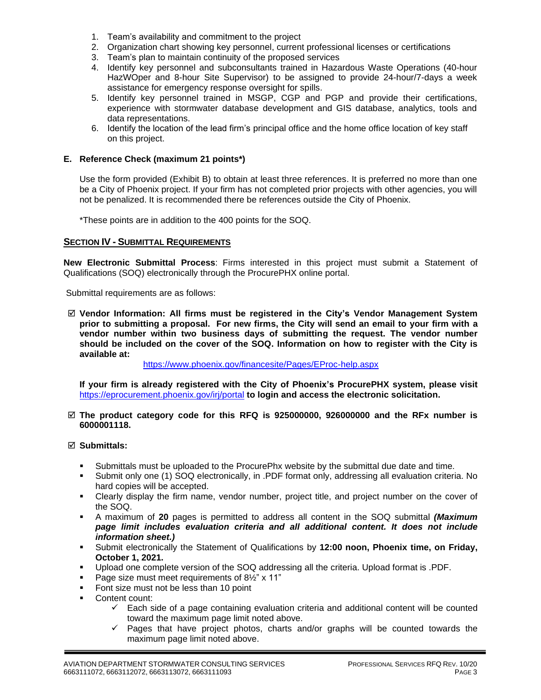- 1. Team's availability and commitment to the project
- 2. Organization chart showing key personnel, current professional licenses or certifications
- 3. Team's plan to maintain continuity of the proposed services
- 4. Identify key personnel and subconsultants trained in Hazardous Waste Operations (40-hour HazWOper and 8-hour Site Supervisor) to be assigned to provide 24-hour/7-days a week assistance for emergency response oversight for spills.
- 5. Identify key personnel trained in MSGP, CGP and PGP and provide their certifications, experience with stormwater database development and GIS database, analytics, tools and data representations.
- 6. Identify the location of the lead firm's principal office and the home office location of key staff on this project.

#### **E. Reference Check (maximum 21 points\*)**

Use the form provided (Exhibit B) to obtain at least three references. It is preferred no more than one be a City of Phoenix project. If your firm has not completed prior projects with other agencies, you will not be penalized. It is recommended there be references outside the City of Phoenix.

\*These points are in addition to the 400 points for the SOQ.

#### **SECTION IV - SUBMITTAL REQUIREMENTS**

**New Electronic Submittal Process**: Firms interested in this project must submit a Statement of Qualifications (SOQ) electronically through the ProcurePHX online portal.

Submittal requirements are as follows:

 **Vendor Information: All firms must be registered in the City's Vendor Management System prior to submitting a proposal. For new firms, the City will send an email to your firm with a vendor number within two business days of submitting the request. The vendor number should be included on the cover of the SOQ. Information on how to register with the City is available at:** 

<https://www.phoenix.gov/financesite/Pages/EProc-help.aspx>

**If your firm is already registered with the City of Phoenix's ProcurePHX system, please visit**  <https://eprocurement.phoenix.gov/irj/portal> **to login and access the electronic solicitation.**

#### **The product category code for this RFQ is 925000000, 926000000 and the RFx number is 6000001118.**

#### **Submittals:**

- Submittals must be uploaded to the ProcurePhx website by the submittal due date and time.
- Submit only one (1) SOQ electronically, in .PDF format only, addressing all evaluation criteria. No hard copies will be accepted.
- Clearly display the firm name, vendor number, project title, and project number on the cover of the SOQ.
- A maximum of **20** pages is permitted to address all content in the SOQ submittal *(Maximum page limit includes evaluation criteria and all additional content. It does not include information sheet.)*
- Submit electronically the Statement of Qualifications by **12:00 noon, Phoenix time, on Friday, October 1, 2021.**
- Upload one complete version of the SOQ addressing all the criteria. Upload format is .PDF.
- Page size must meet requirements of 8½" x 11"
- Font size must not be less than 10 point
- Content count:
	- $\checkmark$  Each side of a page containing evaluation criteria and additional content will be counted toward the maximum page limit noted above.
	- ✓ Pages that have project photos, charts and/or graphs will be counted towards the maximum page limit noted above.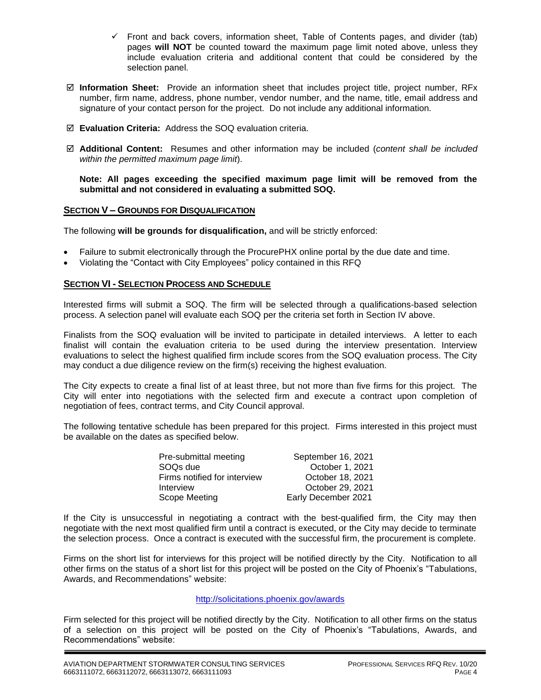- $\checkmark$  Front and back covers, information sheet, Table of Contents pages, and divider (tab) pages **will NOT** be counted toward the maximum page limit noted above, unless they include evaluation criteria and additional content that could be considered by the selection panel.
- **Information Sheet:** Provide an information sheet that includes project title, project number, RFx number, firm name, address, phone number, vendor number, and the name, title, email address and signature of your contact person for the project. Do not include any additional information.
- **Evaluation Criteria:** Address the SOQ evaluation criteria.
- **Additional Content:** Resumes and other information may be included (*content shall be included within the permitted maximum page limit*).

#### **Note: All pages exceeding the specified maximum page limit will be removed from the submittal and not considered in evaluating a submitted SOQ.**

## **SECTION V – GROUNDS FOR DISQUALIFICATION**

The following **will be grounds for disqualification,** and will be strictly enforced:

- Failure to submit electronically through the ProcurePHX online portal by the due date and time.
- Violating the "Contact with City Employees" policy contained in this RFQ

# **SECTION VI - SELECTION PROCESS AND SCHEDULE**

Interested firms will submit a SOQ. The firm will be selected through a qualifications-based selection process. A selection panel will evaluate each SOQ per the criteria set forth in Section IV above.

Finalists from the SOQ evaluation will be invited to participate in detailed interviews. A letter to each finalist will contain the evaluation criteria to be used during the interview presentation. Interview evaluations to select the highest qualified firm include scores from the SOQ evaluation process. The City may conduct a due diligence review on the firm(s) receiving the highest evaluation.

The City expects to create a final list of at least three, but not more than five firms for this project. The City will enter into negotiations with the selected firm and execute a contract upon completion of negotiation of fees, contract terms, and City Council approval.

The following tentative schedule has been prepared for this project. Firms interested in this project must be available on the dates as specified below.

| Pre-submittal meeting        | September 16, 2021  |
|------------------------------|---------------------|
| SOO <sub>s</sub> due         | October 1, 2021     |
| Firms notified for interview | October 18, 2021    |
| Interview                    | October 29, 2021    |
| Scope Meeting                | Early December 2021 |

If the City is unsuccessful in negotiating a contract with the best-qualified firm, the City may then negotiate with the next most qualified firm until a contract is executed, or the City may decide to terminate the selection process. Once a contract is executed with the successful firm, the procurement is complete.

Firms on the short list for interviews for this project will be notified directly by the City. Notification to all other firms on the status of a short list for this project will be posted on the City of Phoenix's "Tabulations, Awards, and Recommendations" website:

## http://solicitations.phoenix.gov/awards

Firm selected for this project will be notified directly by the City. Notification to all other firms on the status of a selection on this project will be posted on the City of Phoenix's "Tabulations, Awards, and Recommendations" website: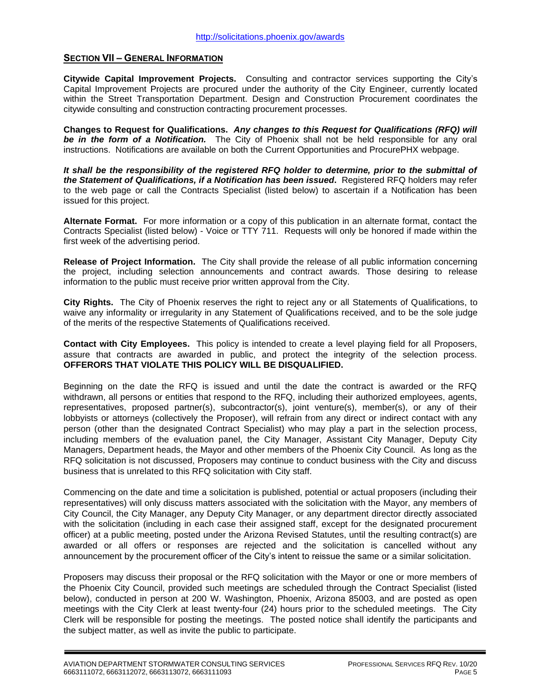## **SECTION VII – GENERAL INFORMATION**

**Citywide Capital Improvement Projects.** Consulting and contractor services supporting the City's Capital Improvement Projects are procured under the authority of the City Engineer, currently located within the Street Transportation Department. Design and Construction Procurement coordinates the citywide consulting and construction contracting procurement processes.

**Changes to Request for Qualifications.** *Any changes to this Request for Qualifications (RFQ) will be in the form of a Notification.* The City of Phoenix shall not be held responsible for any oral instructions. Notifications are available on both the Current Opportunities and ProcurePHX webpage.

*It shall be the responsibility of the registered RFQ holder to determine, prior to the submittal of the Statement of Qualifications, if a Notification has been issued***.** Registered RFQ holders may refer to the web page or call the Contracts Specialist (listed below) to ascertain if a Notification has been issued for this project.

**Alternate Format.** For more information or a copy of this publication in an alternate format, contact the Contracts Specialist (listed below) - Voice or TTY 711. Requests will only be honored if made within the first week of the advertising period.

**Release of Project Information.** The City shall provide the release of all public information concerning the project, including selection announcements and contract awards. Those desiring to release information to the public must receive prior written approval from the City.

**City Rights.** The City of Phoenix reserves the right to reject any or all Statements of Qualifications, to waive any informality or irregularity in any Statement of Qualifications received, and to be the sole judge of the merits of the respective Statements of Qualifications received.

**Contact with City Employees.** This policy is intended to create a level playing field for all Proposers, assure that contracts are awarded in public, and protect the integrity of the selection process. **OFFERORS THAT VIOLATE THIS POLICY WILL BE DISQUALIFIED.**

Beginning on the date the RFQ is issued and until the date the contract is awarded or the RFQ withdrawn, all persons or entities that respond to the RFQ, including their authorized employees, agents, representatives, proposed partner(s), subcontractor(s), joint venture(s), member(s), or any of their lobbyists or attorneys (collectively the Proposer), will refrain from any direct or indirect contact with any person (other than the designated Contract Specialist) who may play a part in the selection process, including members of the evaluation panel, the City Manager, Assistant City Manager, Deputy City Managers, Department heads, the Mayor and other members of the Phoenix City Council. As long as the RFQ solicitation is not discussed, Proposers may continue to conduct business with the City and discuss business that is unrelated to this RFQ solicitation with City staff.

Commencing on the date and time a solicitation is published, potential or actual proposers (including their representatives) will only discuss matters associated with the solicitation with the Mayor, any members of City Council, the City Manager, any Deputy City Manager, or any department director directly associated with the solicitation (including in each case their assigned staff, except for the designated procurement officer) at a public meeting, posted under the Arizona Revised Statutes, until the resulting contract(s) are awarded or all offers or responses are rejected and the solicitation is cancelled without any announcement by the procurement officer of the City's intent to reissue the same or a similar solicitation.

Proposers may discuss their proposal or the RFQ solicitation with the Mayor or one or more members of the Phoenix City Council, provided such meetings are scheduled through the Contract Specialist (listed below), conducted in person at 200 W. Washington, Phoenix, Arizona 85003, and are posted as open meetings with the City Clerk at least twenty-four (24) hours prior to the scheduled meetings. The City Clerk will be responsible for posting the meetings. The posted notice shall identify the participants and the subject matter, as well as invite the public to participate.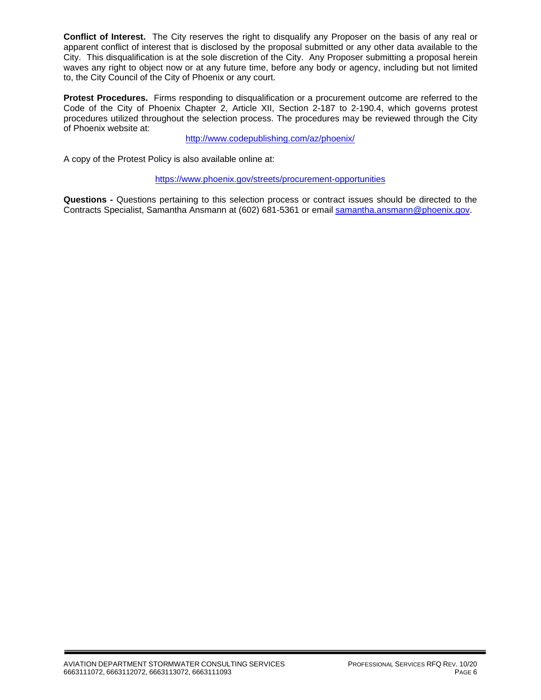**Conflict of Interest.** The City reserves the right to disqualify any Proposer on the basis of any real or apparent conflict of interest that is disclosed by the proposal submitted or any other data available to the City. This disqualification is at the sole discretion of the City. Any Proposer submitting a proposal herein waves any right to object now or at any future time, before any body or agency, including but not limited to, the City Council of the City of Phoenix or any court.

**Protest Procedures.** Firms responding to disqualification or a procurement outcome are referred to the Code of the City of Phoenix Chapter 2, Article XII, Section 2-187 to 2-190.4, which governs protest procedures utilized throughout the selection process. The procedures may be reviewed through the City of Phoenix website at:

<http://www.codepublishing.com/az/phoenix/>

A copy of the Protest Policy is also available online at:

<https://www.phoenix.gov/streets/procurement-opportunities>

**Questions -** Questions pertaining to this selection process or contract issues should be directed to the Contracts Specialist, Samantha Ansmann at (602) 681-5361 or email [samantha.ansmann@phoenix.gov.](mailto:samantha.ansmann@phoenix.gov)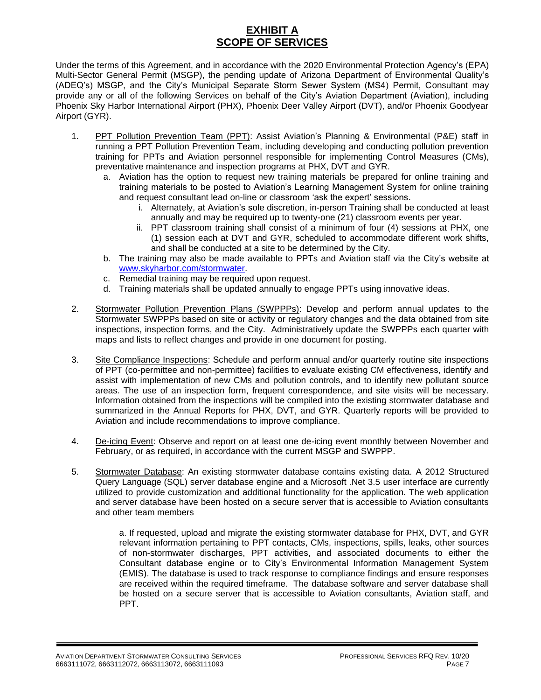# **EXHIBIT A SCOPE OF SERVICES**

Under the terms of this Agreement, and in accordance with the 2020 Environmental Protection Agency's (EPA) Multi-Sector General Permit (MSGP), the pending update of Arizona Department of Environmental Quality's (ADEQ's) MSGP, and the City's Municipal Separate Storm Sewer System (MS4) Permit, Consultant may provide any or all of the following Services on behalf of the City's Aviation Department (Aviation), including Phoenix Sky Harbor International Airport (PHX), Phoenix Deer Valley Airport (DVT), and/or Phoenix Goodyear Airport (GYR).

- 1. PPT Pollution Prevention Team (PPT): Assist Aviation's Planning & Environmental (P&E) staff in running a PPT Pollution Prevention Team, including developing and conducting pollution prevention training for PPTs and Aviation personnel responsible for implementing Control Measures (CMs), preventative maintenance and inspection programs at PHX, DVT and GYR.
	- a. Aviation has the option to request new training materials be prepared for online training and training materials to be posted to Aviation's Learning Management System for online training and request consultant lead on-line or classroom 'ask the expert' sessions.
		- i. Alternately, at Aviation's sole discretion, in-person Training shall be conducted at least annually and may be required up to twenty-one (21) classroom events per year.
		- ii. PPT classroom training shall consist of a minimum of four (4) sessions at PHX, one (1) session each at DVT and GYR, scheduled to accommodate different work shifts, and shall be conducted at a site to be determined by the City.
	- b. The training may also be made available to PPTs and Aviation staff via the City's website at [www.skyharbor.com/stormwater.](http://www.skyharbor.com/stormwater)
	- c. Remedial training may be required upon request.
	- d. Training materials shall be updated annually to engage PPTs using innovative ideas.
- 2. Stormwater Pollution Prevention Plans (SWPPPs): Develop and perform annual updates to the Stormwater SWPPPs based on site or activity or regulatory changes and the data obtained from site inspections, inspection forms, and the City. Administratively update the SWPPPs each quarter with maps and lists to reflect changes and provide in one document for posting.
- 3. Site Compliance Inspections: Schedule and perform annual and/or quarterly routine site inspections of PPT (co-permittee and non-permittee) facilities to evaluate existing CM effectiveness, identify and assist with implementation of new CMs and pollution controls, and to identify new pollutant source areas. The use of an inspection form, frequent correspondence, and site visits will be necessary. Information obtained from the inspections will be compiled into the existing stormwater database and summarized in the Annual Reports for PHX, DVT, and GYR. Quarterly reports will be provided to Aviation and include recommendations to improve compliance.
- 4. De-icing Event: Observe and report on at least one de-icing event monthly between November and February, or as required, in accordance with the current MSGP and SWPPP.
- 5. Stormwater Database: An existing stormwater database contains existing data. A 2012 Structured Query Language (SQL) server database engine and a Microsoft .Net 3.5 user interface are currently utilized to provide customization and additional functionality for the application. The web application and server database have been hosted on a secure server that is accessible to Aviation consultants and other team members

a. If requested, upload and migrate the existing stormwater database for PHX, DVT, and GYR relevant information pertaining to PPT contacts, CMs, inspections, spills, leaks, other sources of non-stormwater discharges, PPT activities, and associated documents to either the Consultant database engine or to City's Environmental Information Management System (EMIS). The database is used to track response to compliance findings and ensure responses are received within the required timeframe. The database software and server database shall be hosted on a secure server that is accessible to Aviation consultants, Aviation staff, and PPT.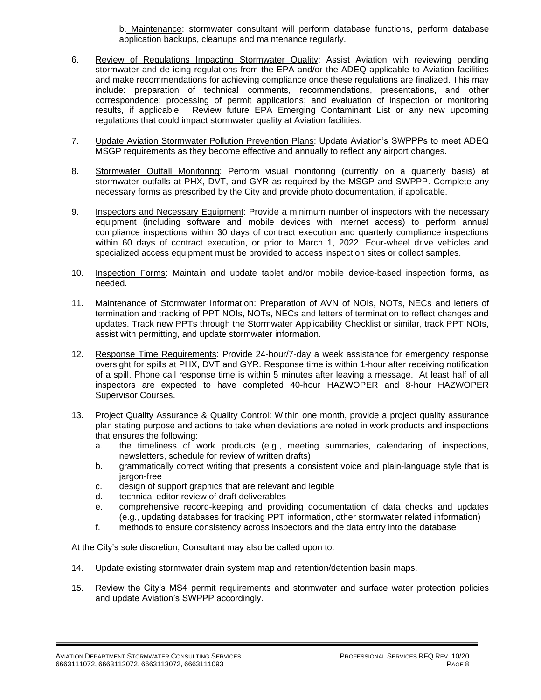b. Maintenance: stormwater consultant will perform database functions, perform database application backups, cleanups and maintenance regularly.

- 6. Review of Regulations Impacting Stormwater Quality: Assist Aviation with reviewing pending stormwater and de-icing regulations from the EPA and/or the ADEQ applicable to Aviation facilities and make recommendations for achieving compliance once these regulations are finalized. This may include: preparation of technical comments, recommendations, presentations, and other correspondence; processing of permit applications; and evaluation of inspection or monitoring results, if applicable. Review future EPA Emerging Contaminant List or any new upcoming regulations that could impact stormwater quality at Aviation facilities.
- 7. **Update Aviation Stormwater Pollution Prevention Plans: Update Aviation's SWPPPs to meet ADEQ** MSGP requirements as they become effective and annually to reflect any airport changes.
- 8. Stormwater Outfall Monitoring: Perform visual monitoring (currently on a quarterly basis) at stormwater outfalls at PHX, DVT, and GYR as required by the MSGP and SWPPP. Complete any necessary forms as prescribed by the City and provide photo documentation, if applicable.
- 9. Inspectors and Necessary Equipment: Provide a minimum number of inspectors with the necessary equipment (including software and mobile devices with internet access) to perform annual compliance inspections within 30 days of contract execution and quarterly compliance inspections within 60 days of contract execution, or prior to March 1, 2022. Four-wheel drive vehicles and specialized access equipment must be provided to access inspection sites or collect samples.
- 10. Inspection Forms: Maintain and update tablet and/or mobile device-based inspection forms, as needed.
- 11. Maintenance of Stormwater Information: Preparation of AVN of NOIs, NOTs, NECs and letters of termination and tracking of PPT NOIs, NOTs, NECs and letters of termination to reflect changes and updates. Track new PPTs through the Stormwater Applicability Checklist or similar, track PPT NOIs, assist with permitting, and update stormwater information.
- 12. Response Time Requirements: Provide 24-hour/7-day a week assistance for emergency response oversight for spills at PHX, DVT and GYR. Response time is within 1-hour after receiving notification of a spill. Phone call response time is within 5 minutes after leaving a message. At least half of all inspectors are expected to have completed 40-hour HAZWOPER and 8-hour HAZWOPER Supervisor Courses.
- 13. Project Quality Assurance & Quality Control: Within one month, provide a project quality assurance plan stating purpose and actions to take when deviations are noted in work products and inspections that ensures the following:
	- a. the timeliness of work products (e.g., meeting summaries, calendaring of inspections, newsletters, schedule for review of written drafts)
	- b. grammatically correct writing that presents a consistent voice and plain-language style that is jargon-free
	- c. design of support graphics that are relevant and legible
	- d. technical editor review of draft deliverables
	- e. comprehensive record-keeping and providing documentation of data checks and updates (e.g., updating databases for tracking PPT information, other stormwater related information)
	- f. methods to ensure consistency across inspectors and the data entry into the database

At the City's sole discretion, Consultant may also be called upon to:

- 14. Update existing stormwater drain system map and retention/detention basin maps.
- 15. Review the City's MS4 permit requirements and stormwater and surface water protection policies and update Aviation's SWPPP accordingly.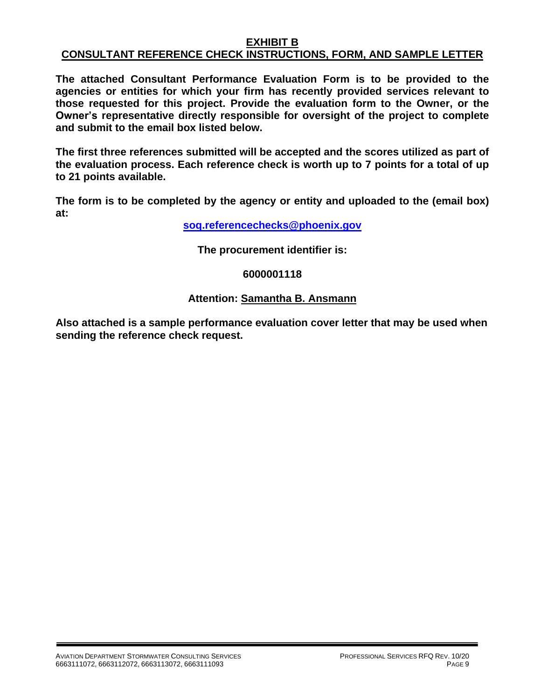# **EXHIBIT B CONSULTANT REFERENCE CHECK INSTRUCTIONS, FORM, AND SAMPLE LETTER**

**The attached Consultant Performance Evaluation Form is to be provided to the agencies or entities for which your firm has recently provided services relevant to those requested for this project. Provide the evaluation form to the Owner, or the Owner's representative directly responsible for oversight of the project to complete and submit to the email box listed below.**

**The first three references submitted will be accepted and the scores utilized as part of the evaluation process. Each reference check is worth up to 7 points for a total of up to 21 points available.**

**The form is to be completed by the agency or entity and uploaded to the (email box) at:**

**[soq.referencechecks@phoenix.gov](mailto:soq.referencechecks@phoenix.gov)**

**The procurement identifier is:**

# **6000001118**

# **Attention: Samantha B. Ansmann**

**Also attached is a sample performance evaluation cover letter that may be used when sending the reference check request.**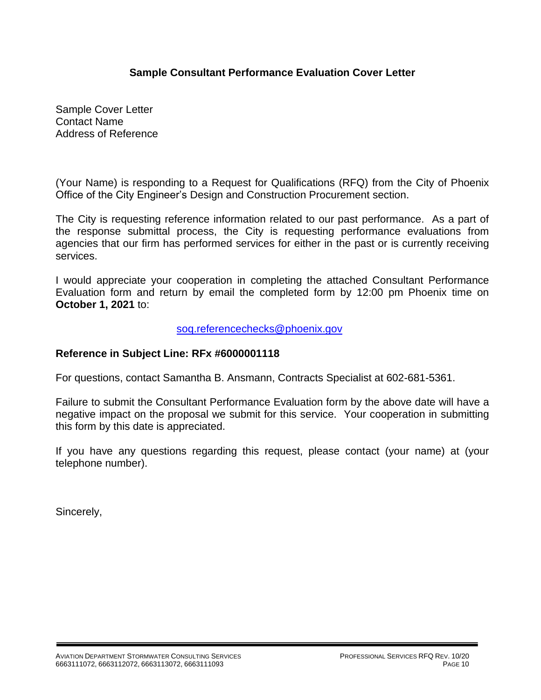# **Sample Consultant Performance Evaluation Cover Letter**

Sample Cover Letter Contact Name Address of Reference

(Your Name) is responding to a Request for Qualifications (RFQ) from the City of Phoenix Office of the City Engineer's Design and Construction Procurement section.

The City is requesting reference information related to our past performance. As a part of the response submittal process, the City is requesting performance evaluations from agencies that our firm has performed services for either in the past or is currently receiving services.

I would appreciate your cooperation in completing the attached Consultant Performance Evaluation form and return by email the completed form by 12:00 pm Phoenix time on **October 1, 2021** to:

[soq.referencechecks@phoenix.gov](mailto:soq.referencechecks@phoenix.gov)

# **Reference in Subject Line: RFx #6000001118**

For questions, contact Samantha B. Ansmann, Contracts Specialist at 602-681-5361.

Failure to submit the Consultant Performance Evaluation form by the above date will have a negative impact on the proposal we submit for this service. Your cooperation in submitting this form by this date is appreciated.

If you have any questions regarding this request, please contact (your name) at (your telephone number).

Sincerely,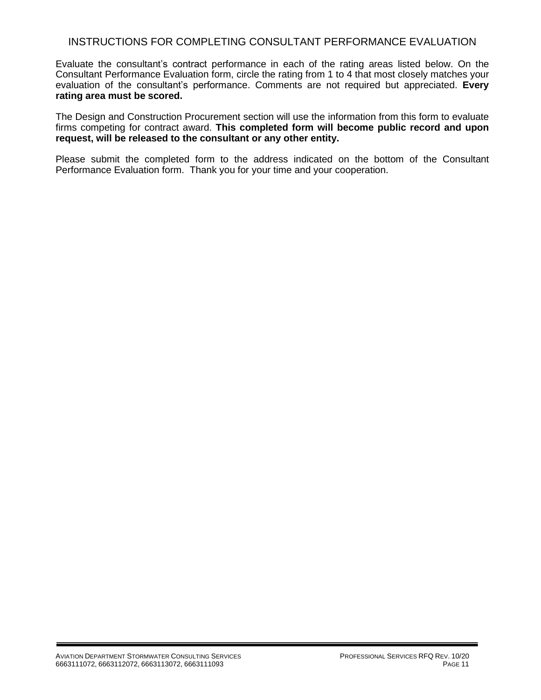# INSTRUCTIONS FOR COMPLETING CONSULTANT PERFORMANCE EVALUATION

Evaluate the consultant's contract performance in each of the rating areas listed below. On the Consultant Performance Evaluation form, circle the rating from 1 to 4 that most closely matches your evaluation of the consultant's performance. Comments are not required but appreciated. **Every rating area must be scored.** 

The Design and Construction Procurement section will use the information from this form to evaluate firms competing for contract award. **This completed form will become public record and upon request, will be released to the consultant or any other entity.**

Please submit the completed form to the address indicated on the bottom of the Consultant Performance Evaluation form. Thank you for your time and your cooperation.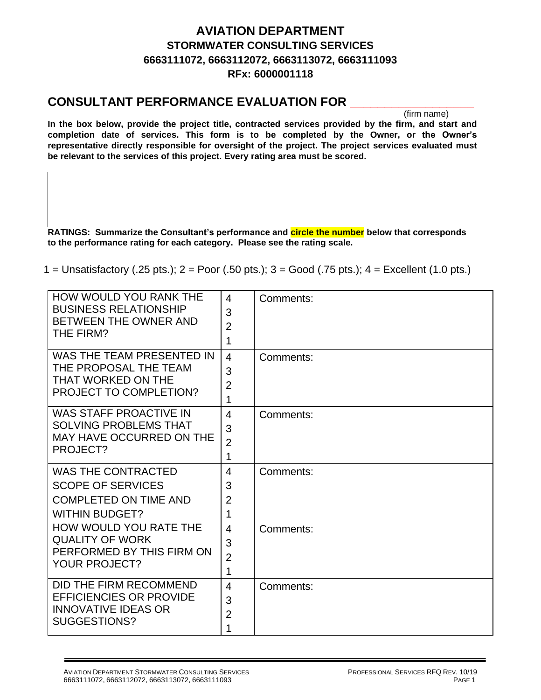# **AVIATION DEPARTMENT STORMWATER CONSULTING SERVICES 6663111072, 6663112072, 6663113072, 6663111093 RFx: 6000001118**

# **CONSULTANT PERFORMANCE EVALUATION FOR \_\_\_\_\_\_\_\_\_\_\_\_\_\_\_\_\_\_**

(firm name)

**In the box below, provide the project title, contracted services provided by the firm, and start and completion date of services. This form is to be completed by the Owner, or the Owner's representative directly responsible for oversight of the project. The project services evaluated must be relevant to the services of this project. Every rating area must be scored.** 

**RATINGS: Summarize the Consultant's performance and circle the number below that corresponds to the performance rating for each category. Please see the rating scale.**

1 = Unsatisfactory (.25 pts.); 2 = Poor (.50 pts.); 3 = Good (.75 pts.); 4 = Excellent (1.0 pts.)

| <b>HOW WOULD YOU RANK THE</b><br><b>BUSINESS RELATIONSHIP</b><br>BETWEEN THE OWNER AND<br>THE FIRM?            | 4<br>3<br>$\overline{2}$<br>1              | Comments: |
|----------------------------------------------------------------------------------------------------------------|--------------------------------------------|-----------|
| WAS THE TEAM PRESENTED IN<br>THE PROPOSAL THE TEAM<br>THAT WORKED ON THE<br>PROJECT TO COMPLETION?             | $\overline{4}$<br>3<br>$\overline{2}$<br>1 | Comments: |
| <b>WAS STAFF PROACTIVE IN</b><br><b>SOLVING PROBLEMS THAT</b><br><b>MAY HAVE OCCURRED ON THE</b><br>PROJECT?   | $\overline{4}$<br>3<br>$\overline{2}$<br>1 | Comments: |
| <b>WAS THE CONTRACTED</b><br><b>SCOPE OF SERVICES</b><br><b>COMPLETED ON TIME AND</b><br><b>WITHIN BUDGET?</b> | 4<br>3<br>$\overline{2}$<br>1              | Comments: |
| <b>HOW WOULD YOU RATE THE</b><br><b>QUALITY OF WORK</b><br>PERFORMED BY THIS FIRM ON<br><b>YOUR PROJECT?</b>   | $\overline{4}$<br>3<br>$\overline{2}$<br>1 | Comments: |
| DID THE FIRM RECOMMEND<br><b>EFFICIENCIES OR PROVIDE</b><br><b>INNOVATIVE IDEAS OR</b><br>SUGGESTIONS?         | $\overline{4}$<br>3<br>$\overline{2}$<br>1 | Comments: |